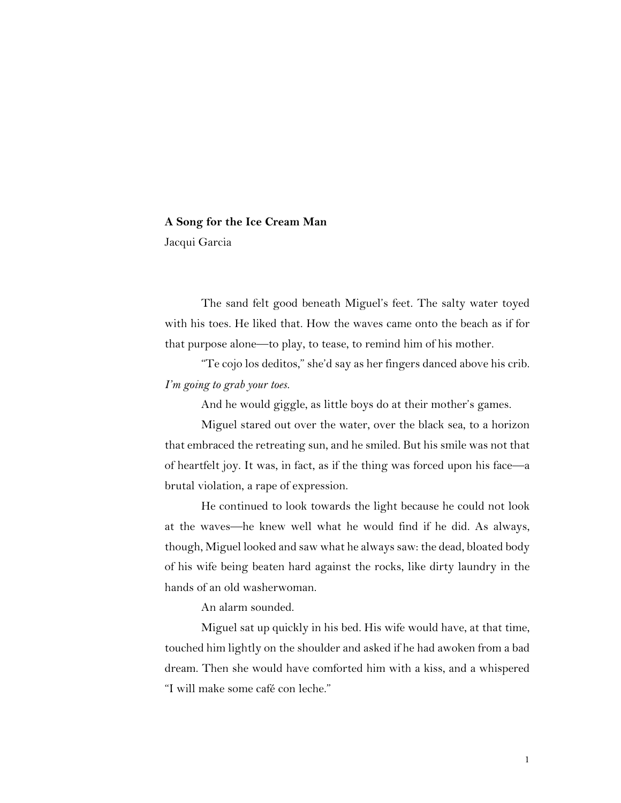## **A Song for the Ice Cream Man**

Jacqui Garcia

The sand felt good beneath Miguel's feet. The salty water toyed with his toes. He liked that. How the waves came onto the beach as if for that purpose alone—to play, to tease, to remind him of his mother.

"Te cojo los deditos," she'd say as her fingers danced above his crib. *I'm going to grab your toes.*

And he would giggle, as little boys do at their mother's games.

Miguel stared out over the water, over the black sea, to a horizon that embraced the retreating sun, and he smiled. But his smile was not that of heartfelt joy. It was, in fact, as if the thing was forced upon his face—a brutal violation, a rape of expression.

He continued to look towards the light because he could not look at the waves—he knew well what he would find if he did. As always, though, Miguel looked and saw what he always saw: the dead, bloated body of his wife being beaten hard against the rocks, like dirty laundry in the hands of an old washerwoman.

An alarm sounded.

Miguel sat up quickly in his bed. His wife would have, at that time, touched him lightly on the shoulder and asked if he had awoken from a bad dream. Then she would have comforted him with a kiss, and a whispered "I will make some café con leche."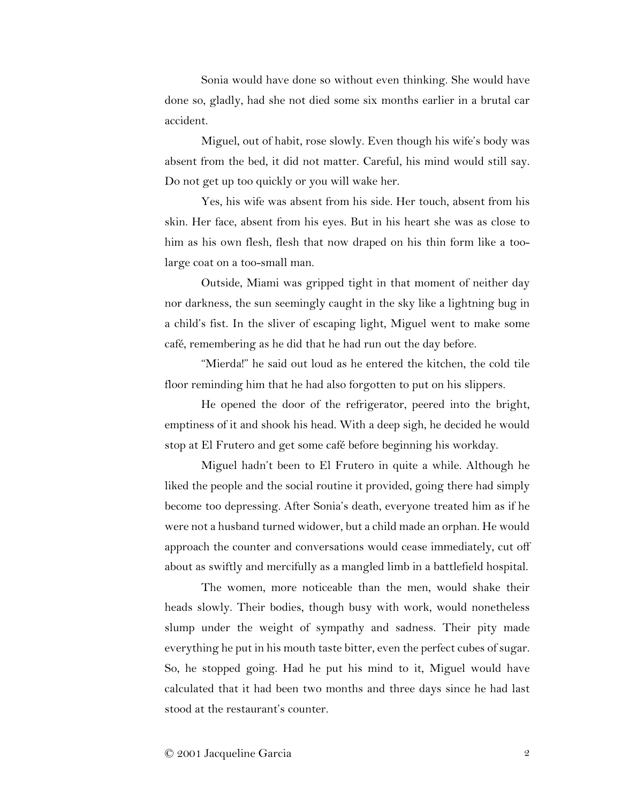Sonia would have done so without even thinking. She would have done so, gladly, had she not died some six months earlier in a brutal car accident.

Miguel, out of habit, rose slowly. Even though his wife's body was absent from the bed, it did not matter. Careful, his mind would still say. Do not get up too quickly or you will wake her.

Yes, his wife was absent from his side. Her touch, absent from his skin. Her face, absent from his eyes. But in his heart she was as close to him as his own flesh, flesh that now draped on his thin form like a toolarge coat on a too-small man.

Outside, Miami was gripped tight in that moment of neither day nor darkness, the sun seemingly caught in the sky like a lightning bug in a child's fist. In the sliver of escaping light, Miguel went to make some café, remembering as he did that he had run out the day before.

"Mierda!" he said out loud as he entered the kitchen, the cold tile floor reminding him that he had also forgotten to put on his slippers.

He opened the door of the refrigerator, peered into the bright, emptiness of it and shook his head. With a deep sigh, he decided he would stop at El Frutero and get some café before beginning his workday.

Miguel hadn't been to El Frutero in quite a while. Although he liked the people and the social routine it provided, going there had simply become too depressing. After Sonia's death, everyone treated him as if he were not a husband turned widower, but a child made an orphan. He would approach the counter and conversations would cease immediately, cut off about as swiftly and mercifully as a mangled limb in a battlefield hospital.

The women, more noticeable than the men, would shake their heads slowly. Their bodies, though busy with work, would nonetheless slump under the weight of sympathy and sadness. Their pity made everything he put in his mouth taste bitter, even the perfect cubes of sugar. So, he stopped going. Had he put his mind to it, Miguel would have calculated that it had been two months and three days since he had last stood at the restaurant's counter.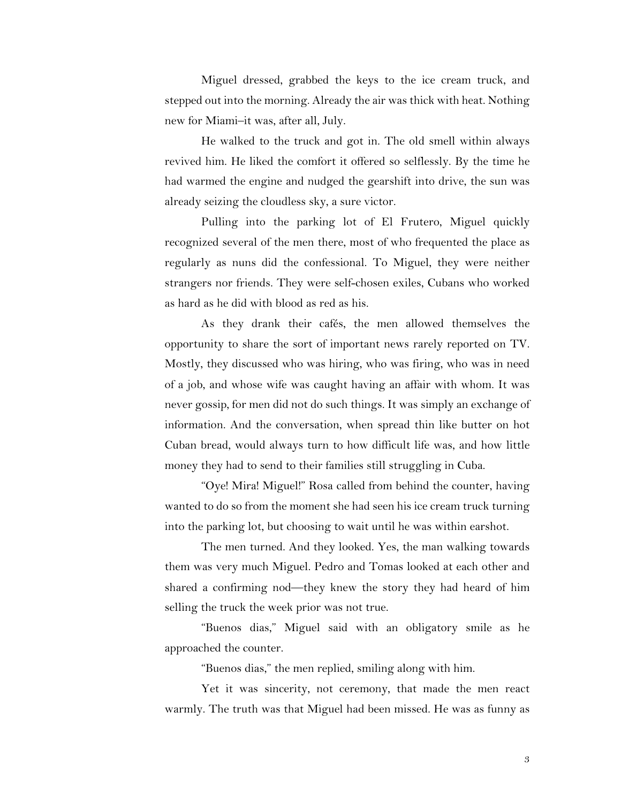Miguel dressed, grabbed the keys to the ice cream truck, and stepped out into the morning. Already the air was thick with heat. Nothing new for Miami–it was, after all, July.

He walked to the truck and got in. The old smell within always revived him. He liked the comfort it offered so selflessly. By the time he had warmed the engine and nudged the gearshift into drive, the sun was already seizing the cloudless sky, a sure victor.

Pulling into the parking lot of El Frutero, Miguel quickly recognized several of the men there, most of who frequented the place as regularly as nuns did the confessional. To Miguel, they were neither strangers nor friends. They were self-chosen exiles, Cubans who worked as hard as he did with blood as red as his.

As they drank their cafés, the men allowed themselves the opportunity to share the sort of important news rarely reported on TV. Mostly, they discussed who was hiring, who was firing, who was in need of a job, and whose wife was caught having an affair with whom. It was never gossip, for men did not do such things. It was simply an exchange of information. And the conversation, when spread thin like butter on hot Cuban bread, would always turn to how difficult life was, and how little money they had to send to their families still struggling in Cuba.

"Oye! Mira! Miguel!" Rosa called from behind the counter, having wanted to do so from the moment she had seen his ice cream truck turning into the parking lot, but choosing to wait until he was within earshot.

The men turned. And they looked. Yes, the man walking towards them was very much Miguel. Pedro and Tomas looked at each other and shared a confirming nod—they knew the story they had heard of him selling the truck the week prior was not true.

"Buenos dias," Miguel said with an obligatory smile as he approached the counter.

"Buenos dias," the men replied, smiling along with him.

Yet it was sincerity, not ceremony, that made the men react warmly. The truth was that Miguel had been missed. He was as funny as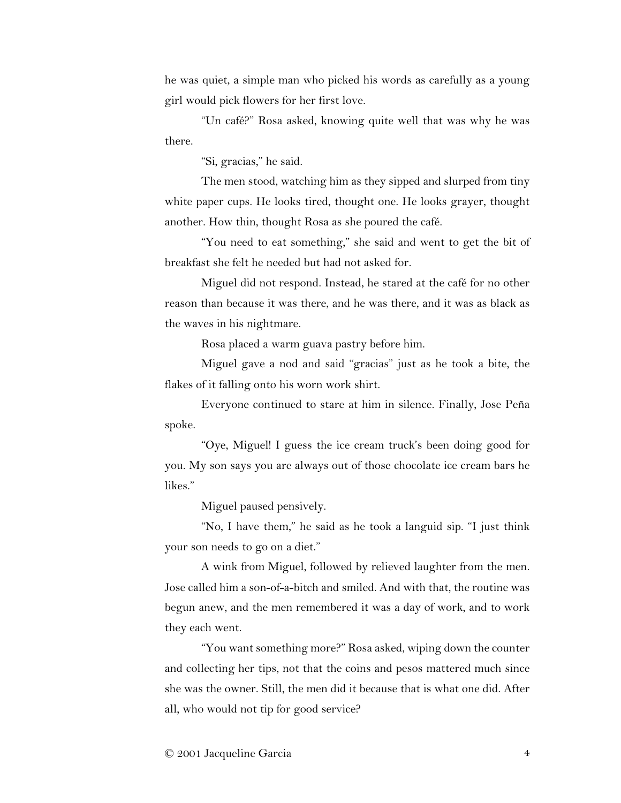he was quiet, a simple man who picked his words as carefully as a young girl would pick flowers for her first love.

"Un café?" Rosa asked, knowing quite well that was why he was there.

"Si, gracias," he said.

The men stood, watching him as they sipped and slurped from tiny white paper cups. He looks tired, thought one. He looks grayer, thought another. How thin, thought Rosa as she poured the café.

"You need to eat something," she said and went to get the bit of breakfast she felt he needed but had not asked for.

Miguel did not respond. Instead, he stared at the café for no other reason than because it was there, and he was there, and it was as black as the waves in his nightmare.

Rosa placed a warm guava pastry before him.

Miguel gave a nod and said "gracias" just as he took a bite, the flakes of it falling onto his worn work shirt.

Everyone continued to stare at him in silence. Finally, Jose Peña spoke.

"Oye, Miguel! I guess the ice cream truck's been doing good for you. My son says you are always out of those chocolate ice cream bars he likes."

Miguel paused pensively.

"No, I have them," he said as he took a languid sip. "I just think your son needs to go on a diet."

A wink from Miguel, followed by relieved laughter from the men. Jose called him a son-of-a-bitch and smiled. And with that, the routine was begun anew, and the men remembered it was a day of work, and to work they each went.

"You want something more?" Rosa asked, wiping down the counter and collecting her tips, not that the coins and pesos mattered much since she was the owner. Still, the men did it because that is what one did. After all, who would not tip for good service?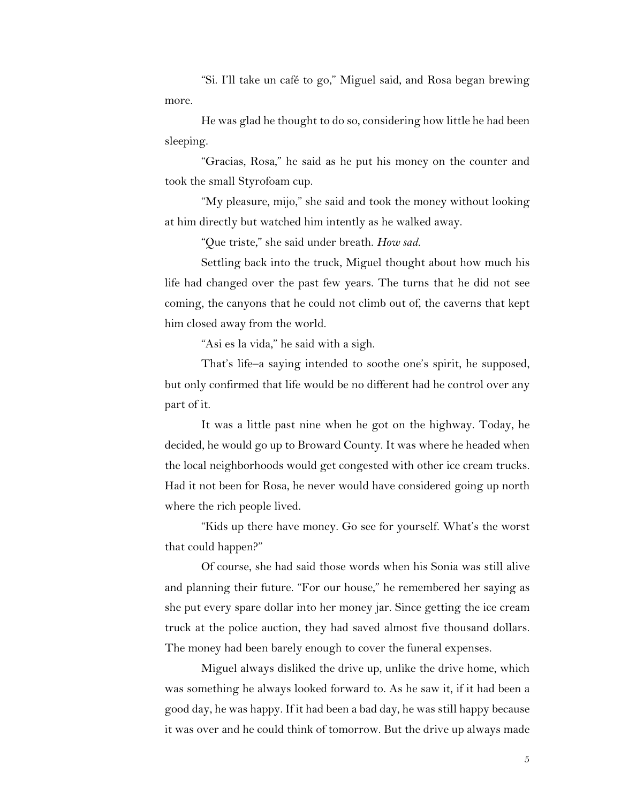"Si. I'll take un café to go," Miguel said, and Rosa began brewing more.

He was glad he thought to do so, considering how little he had been sleeping.

"Gracias, Rosa," he said as he put his money on the counter and took the small Styrofoam cup.

"My pleasure, mijo," she said and took the money without looking at him directly but watched him intently as he walked away.

"Que triste," she said under breath. *How sad.*

Settling back into the truck, Miguel thought about how much his life had changed over the past few years. The turns that he did not see coming, the canyons that he could not climb out of, the caverns that kept him closed away from the world.

"Asi es la vida," he said with a sigh.

That's life–a saying intended to soothe one's spirit, he supposed, but only confirmed that life would be no different had he control over any part of it.

It was a little past nine when he got on the highway. Today, he decided, he would go up to Broward County. It was where he headed when the local neighborhoods would get congested with other ice cream trucks. Had it not been for Rosa, he never would have considered going up north where the rich people lived.

"Kids up there have money. Go see for yourself. What's the worst that could happen?"

Of course, she had said those words when his Sonia was still alive and planning their future. "For our house," he remembered her saying as she put every spare dollar into her money jar. Since getting the ice cream truck at the police auction, they had saved almost five thousand dollars. The money had been barely enough to cover the funeral expenses.

Miguel always disliked the drive up, unlike the drive home, which was something he always looked forward to. As he saw it, if it had been a good day, he was happy. If it had been a bad day, he was still happy because it was over and he could think of tomorrow. But the drive up always made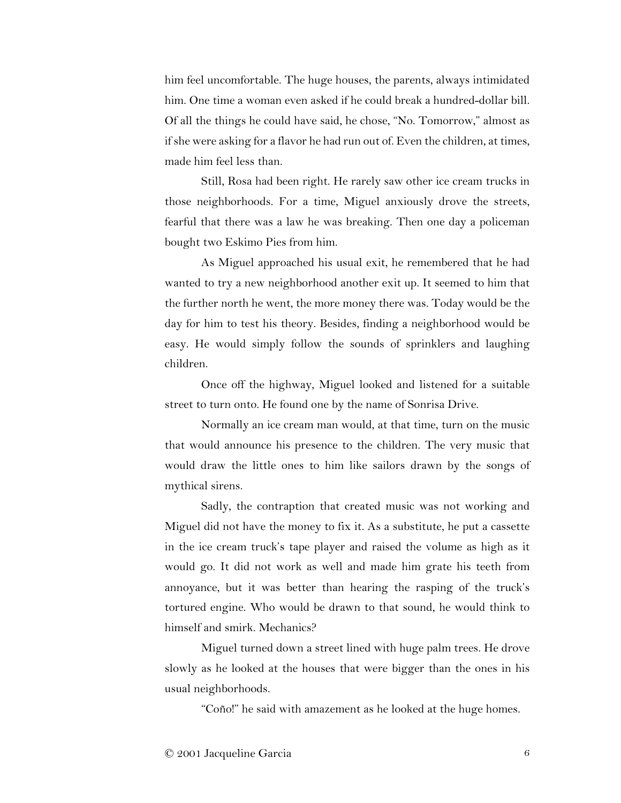him feel uncomfortable. The huge houses, the parents, always intimidated him. One time a woman even asked if he could break a hundred-dollar bill. Of all the things he could have said, he chose, "No. Tomorrow," almost as if she were asking for a flavor he had run out of. Even the children, at times, made him feel less than.

Still, Rosa had been right. He rarely saw other ice cream trucks in those neighborhoods. For a time, Miguel anxiously drove the streets, fearful that there was a law he was breaking. Then one day a policeman bought two Eskimo Pies from him.

As Miguel approached his usual exit, he remembered that he had wanted to try a new neighborhood another exit up. It seemed to him that the further north he went, the more money there was. Today would be the day for him to test his theory. Besides, finding a neighborhood would be easy. He would simply follow the sounds of sprinklers and laughing children.

Once off the highway, Miguel looked and listened for a suitable street to turn onto. He found one by the name of Sonrisa Drive.

Normally an ice cream man would, at that time, turn on the music that would announce his presence to the children. The very music that would draw the little ones to him like sailors drawn by the songs of mythical sirens.

Sadly, the contraption that created music was not working and Miguel did not have the money to fix it. As a substitute, he put a cassette in the ice cream truck's tape player and raised the volume as high as it would go. It did not work as well and made him grate his teeth from annoyance, but it was better than hearing the rasping of the truck's tortured engine. Who would be drawn to that sound, he would think to himself and smirk. Mechanics?

Miguel turned down a street lined with huge palm trees. He drove slowly as he looked at the houses that were bigger than the ones in his usual neighborhoods.

"Coño!" he said with amazement as he looked at the huge homes.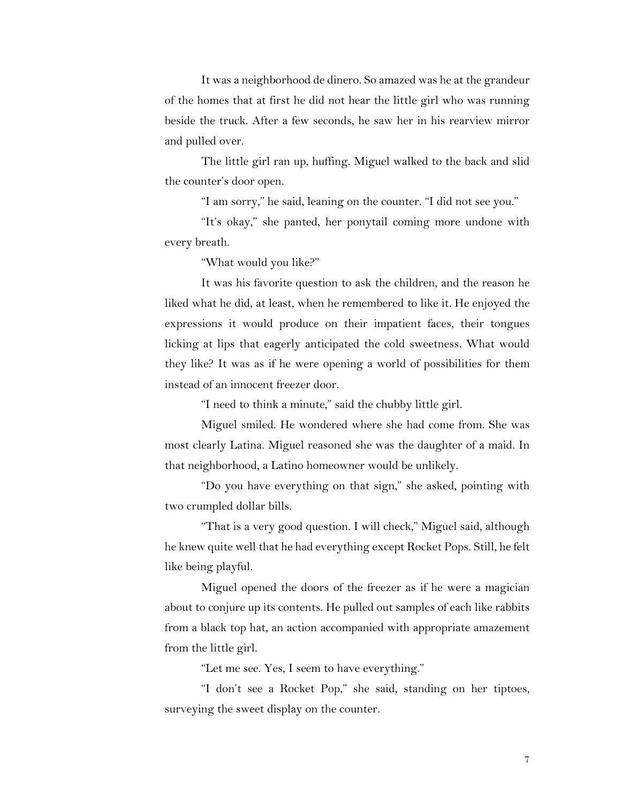It was a neighborhood de dinero. So amazed was he at the grandeur of the homes that at first he did not hear the little girl who was running beside the truck. After a few seconds, he saw her in his rearview mirror and pulled over.

The little girl ran up, huffing. Miguel walked to the back and slid the counter's door open.

"I am sorry," he said, leaning on the counter. "I did not see you."

"It's okay," she panted, her ponytail coming more undone with every breath.

"What would you like?"

It was his favorite question to ask the children, and the reason he liked what he did, at least, when he remembered to like it. He enjoyed the expressions it would produce on their impatient faces, their tongues licking at lips that eagerly anticipated the cold sweetness. What would they like? It was as if he were opening a world of possibilities for them instead of an innocent freezer door.

"I need to think a minute," said the chubby little girl.

Miguel smiled. He wondered where she had come from. She was most clearly Latina. Miguel reasoned she was the daughter of a maid. In that neighborhood, a Latino homeowner would be unlikely.

"Do you have everything on that sign," she asked, pointing with two crumpled dollar bills.

"That is a very good question. I will check," Miguel said, although he knew quite well that he had everything except Rocket Pops. Still, he felt like being playful.

Miguel opened the doors of the freezer as if he were a magician about to conjure up its contents. He pulled out samples of each like rabbits from a black top hat, an action accompanied with appropriate amazement from the little girl.

"Let me see. Yes, I seem to have everything."

"I don't see a Rocket Pop," she said, standing on her tiptoes, surveying the sweet display on the counter.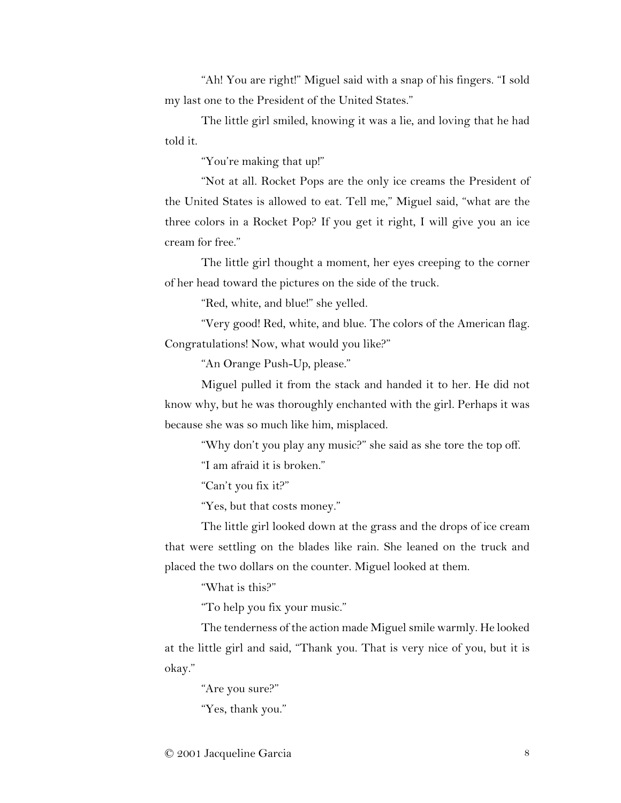"Ah! You are right!" Miguel said with a snap of his fingers. "I sold my last one to the President of the United States."

The little girl smiled, knowing it was a lie, and loving that he had told it.

"You're making that up!"

"Not at all. Rocket Pops are the only ice creams the President of the United States is allowed to eat. Tell me," Miguel said, "what are the three colors in a Rocket Pop? If you get it right, I will give you an ice cream for free."

The little girl thought a moment, her eyes creeping to the corner of her head toward the pictures on the side of the truck.

"Red, white, and blue!" she yelled.

"Very good! Red, white, and blue. The colors of the American flag. Congratulations! Now, what would you like?"

"An Orange Push-Up, please."

Miguel pulled it from the stack and handed it to her. He did not know why, but he was thoroughly enchanted with the girl. Perhaps it was because she was so much like him, misplaced.

"Why don't you play any music?" she said as she tore the top off.

"I am afraid it is broken."

"Can't you fix it?"

"Yes, but that costs money."

The little girl looked down at the grass and the drops of ice cream that were settling on the blades like rain. She leaned on the truck and placed the two dollars on the counter. Miguel looked at them.

"What is this?"

"To help you fix your music."

The tenderness of the action made Miguel smile warmly. He looked at the little girl and said, "Thank you. That is very nice of you, but it is okay."

"Are you sure?"

"Yes, thank you."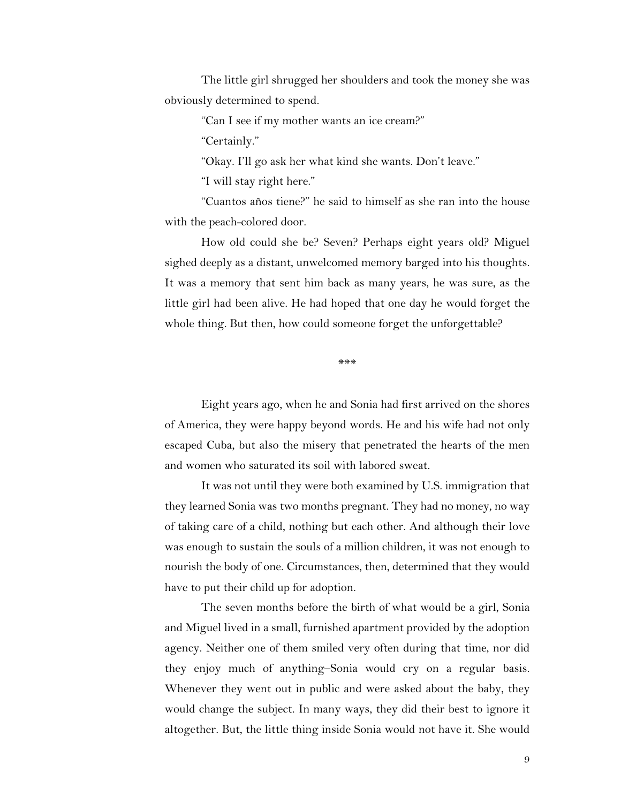The little girl shrugged her shoulders and took the money she was obviously determined to spend.

"Can I see if my mother wants an ice cream?"

"Certainly."

"Okay. I'll go ask her what kind she wants. Don't leave."

"I will stay right here."

"Cuantos años tiene?" he said to himself as she ran into the house with the peach-colored door.

How old could she be? Seven? Perhaps eight years old? Miguel sighed deeply as a distant, unwelcomed memory barged into his thoughts. It was a memory that sent him back as many years, he was sure, as the little girl had been alive. He had hoped that one day he would forget the whole thing. But then, how could someone forget the unforgettable?

\*\*\*

Eight years ago, when he and Sonia had first arrived on the shores of America, they were happy beyond words. He and his wife had not only escaped Cuba, but also the misery that penetrated the hearts of the men and women who saturated its soil with labored sweat.

It was not until they were both examined by U.S. immigration that they learned Sonia was two months pregnant. They had no money, no way of taking care of a child, nothing but each other. And although their love was enough to sustain the souls of a million children, it was not enough to nourish the body of one. Circumstances, then, determined that they would have to put their child up for adoption.

The seven months before the birth of what would be a girl, Sonia and Miguel lived in a small, furnished apartment provided by the adoption agency. Neither one of them smiled very often during that time, nor did they enjoy much of anything–Sonia would cry on a regular basis. Whenever they went out in public and were asked about the baby, they would change the subject. In many ways, they did their best to ignore it altogether. But, the little thing inside Sonia would not have it. She would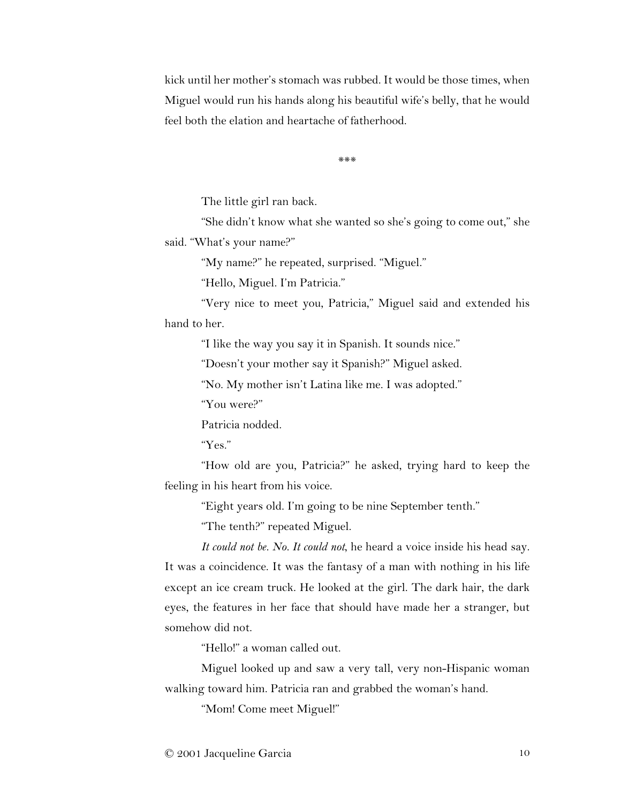kick until her mother's stomach was rubbed. It would be those times, when Miguel would run his hands along his beautiful wife's belly, that he would feel both the elation and heartache of fatherhood.

\*\*\*

The little girl ran back.

"She didn't know what she wanted so she's going to come out," she said. "What's your name?"

"My name?" he repeated, surprised. "Miguel."

"Hello, Miguel. I'm Patricia."

"Very nice to meet you, Patricia," Miguel said and extended his hand to her.

"I like the way you say it in Spanish. It sounds nice."

"Doesn't your mother say it Spanish?" Miguel asked.

"No. My mother isn't Latina like me. I was adopted."

"You were?"

Patricia nodded.

"Yes."

"How old are you, Patricia?" he asked, trying hard to keep the feeling in his heart from his voice.

"Eight years old. I'm going to be nine September tenth."

"The tenth?" repeated Miguel.

*It could not be. No. It could not*, he heard a voice inside his head say. It was a coincidence. It was the fantasy of a man with nothing in his life except an ice cream truck. He looked at the girl. The dark hair, the dark eyes, the features in her face that should have made her a stranger, but somehow did not.

"Hello!" a woman called out.

Miguel looked up and saw a very tall, very non-Hispanic woman walking toward him. Patricia ran and grabbed the woman's hand.

"Mom! Come meet Miguel!"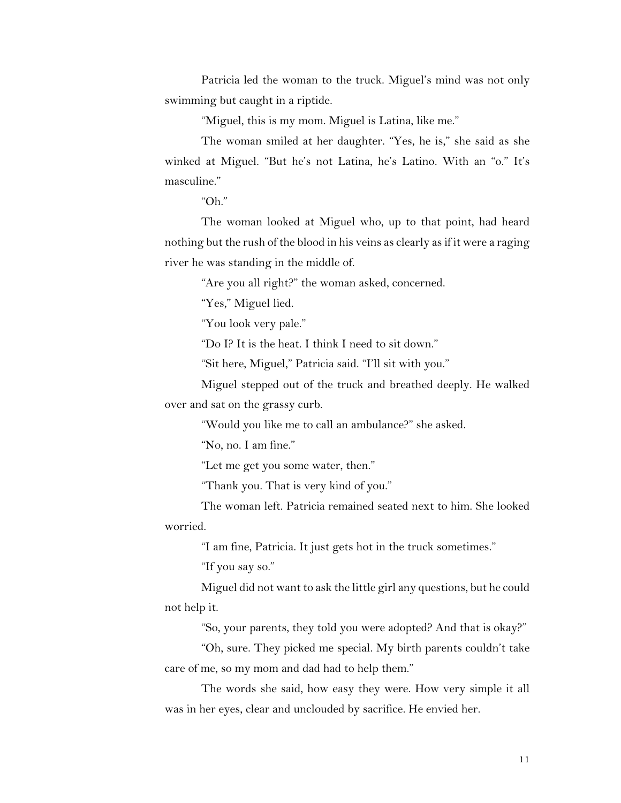Patricia led the woman to the truck. Miguel's mind was not only swimming but caught in a riptide.

"Miguel, this is my mom. Miguel is Latina, like me."

The woman smiled at her daughter. "Yes, he is," she said as she winked at Miguel. "But he's not Latina, he's Latino. With an "o." It's masculine."

"Oh."

The woman looked at Miguel who, up to that point, had heard nothing but the rush of the blood in his veins as clearly as if it were a raging river he was standing in the middle of.

"Are you all right?" the woman asked, concerned.

"Yes," Miguel lied.

"You look very pale."

"Do I? It is the heat. I think I need to sit down."

"Sit here, Miguel," Patricia said. "I'll sit with you."

Miguel stepped out of the truck and breathed deeply. He walked over and sat on the grassy curb.

"Would you like me to call an ambulance?" she asked.

"No, no. I am fine."

"Let me get you some water, then."

"Thank you. That is very kind of you."

The woman left. Patricia remained seated next to him. She looked worried.

"I am fine, Patricia. It just gets hot in the truck sometimes."

"If you say so."

Miguel did not want to ask the little girl any questions, but he could not help it.

"So, your parents, they told you were adopted? And that is okay?"

"Oh, sure. They picked me special. My birth parents couldn't take care of me, so my mom and dad had to help them."

The words she said, how easy they were. How very simple it all was in her eyes, clear and unclouded by sacrifice. He envied her.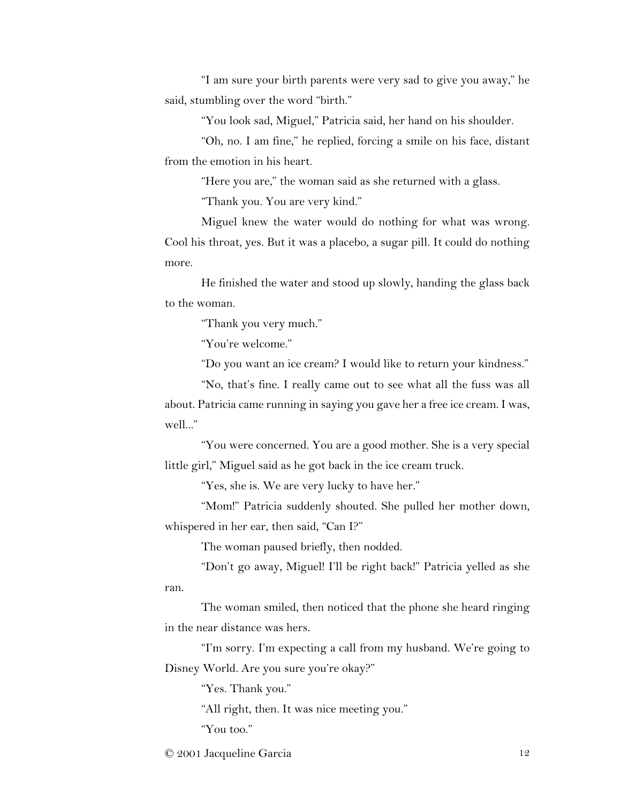"I am sure your birth parents were very sad to give you away," he said, stumbling over the word "birth."

"You look sad, Miguel," Patricia said, her hand on his shoulder.

"Oh, no. I am fine," he replied, forcing a smile on his face, distant from the emotion in his heart.

"Here you are," the woman said as she returned with a glass.

"Thank you. You are very kind."

Miguel knew the water would do nothing for what was wrong. Cool his throat, yes. But it was a placebo, a sugar pill. It could do nothing more.

He finished the water and stood up slowly, handing the glass back to the woman.

"Thank you very much."

"You're welcome."

"Do you want an ice cream? I would like to return your kindness."

"No, that's fine. I really came out to see what all the fuss was all about. Patricia came running in saying you gave her a free ice cream. I was, well..."

"You were concerned. You are a good mother. She is a very special little girl," Miguel said as he got back in the ice cream truck.

"Yes, she is. We are very lucky to have her."

"Mom!" Patricia suddenly shouted. She pulled her mother down, whispered in her ear, then said, "Can I?"

The woman paused briefly, then nodded.

"Don't go away, Miguel! I'll be right back!" Patricia yelled as she ran.

The woman smiled, then noticed that the phone she heard ringing in the near distance was hers.

"I'm sorry. I'm expecting a call from my husband. We're going to Disney World. Are you sure you're okay?"

"Yes. Thank you."

"All right, then. It was nice meeting you."

"You too."

© 2001 Jacqueline Garcia 12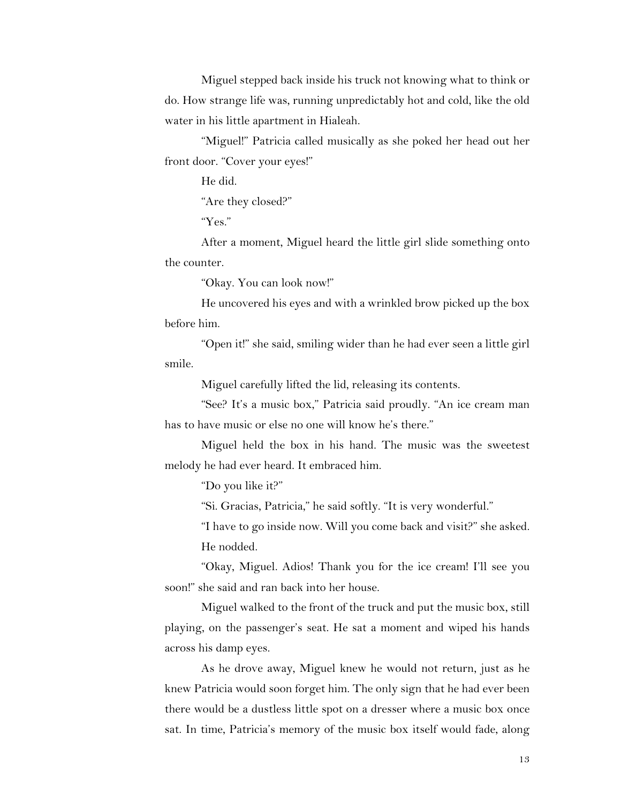Miguel stepped back inside his truck not knowing what to think or do. How strange life was, running unpredictably hot and cold, like the old water in his little apartment in Hialeah.

"Miguel!" Patricia called musically as she poked her head out her front door. "Cover your eyes!"

He did.

"Are they closed?"

"Yes."

After a moment, Miguel heard the little girl slide something onto the counter.

"Okay. You can look now!"

He uncovered his eyes and with a wrinkled brow picked up the box before him.

"Open it!" she said, smiling wider than he had ever seen a little girl smile.

Miguel carefully lifted the lid, releasing its contents.

"See? It's a music box," Patricia said proudly. "An ice cream man has to have music or else no one will know he's there."

Miguel held the box in his hand. The music was the sweetest melody he had ever heard. It embraced him.

"Do you like it?"

"Si. Gracias, Patricia," he said softly. "It is very wonderful."

"I have to go inside now. Will you come back and visit?" she asked. He nodded.

"Okay, Miguel. Adios! Thank you for the ice cream! I'll see you soon!" she said and ran back into her house.

Miguel walked to the front of the truck and put the music box, still playing, on the passenger's seat. He sat a moment and wiped his hands across his damp eyes.

As he drove away, Miguel knew he would not return, just as he knew Patricia would soon forget him. The only sign that he had ever been there would be a dustless little spot on a dresser where a music box once sat. In time, Patricia's memory of the music box itself would fade, along